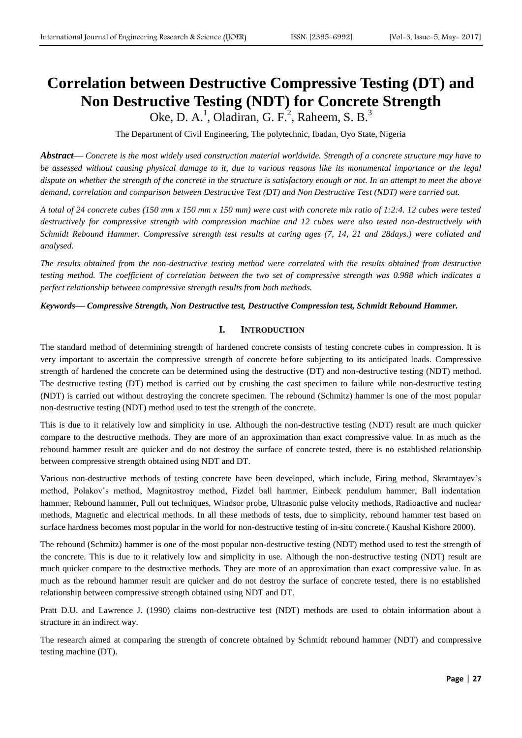# **Correlation between Destructive Compressive Testing (DT) and Non Destructive Testing (NDT) for Concrete Strength**

Oke, D. A.<sup>1</sup>, Oladiran, G. F.<sup>2</sup>, Raheem, S. B.<sup>3</sup>

The Department of Civil Engineering, The polytechnic, Ibadan, Oyo State, Nigeria

*Abstract***—** *Concrete is the most widely used construction material worldwide. Strength of a concrete structure may have to be assessed without causing physical damage to it, due to various reasons like its monumental importance or the legal dispute on whether the strength of the concrete in the structure is satisfactory enough or not. In an attempt to meet the above demand, correlation and comparison between Destructive Test (DT) and Non Destructive Test (NDT) were carried out.* 

*A total of 24 concrete cubes (150 mm x 150 mm x 150 mm) were cast with concrete mix ratio of 1:2:4. 12 cubes were tested destructively for compressive strength with compression machine and 12 cubes were also tested non-destructively with Schmidt Rebound Hammer. Compressive strength test results at curing ages (7, 14, 21 and 28days.) were collated and analysed.* 

*The results obtained from the non-destructive testing method were correlated with the results obtained from destructive testing method. The coefficient of correlation between the two set of compressive strength was 0.988 which indicates a perfect relationship between compressive strength results from both methods.*

*Keywords***—** *Compressive Strength, Non Destructive test, Destructive Compression test, Schmidt Rebound Hammer.*

## **I. INTRODUCTION**

The standard method of determining strength of hardened concrete consists of testing concrete cubes in compression. It is very important to ascertain the compressive strength of concrete before subjecting to its anticipated loads. Compressive strength of hardened the concrete can be determined using the destructive (DT) and non-destructive testing (NDT) method. The destructive testing (DT) method is carried out by crushing the cast specimen to failure while non-destructive testing (NDT) is carried out without destroying the concrete specimen. The rebound (Schmitz) hammer is one of the most popular non-destructive testing (NDT) method used to test the strength of the concrete.

This is due to it relatively low and simplicity in use. Although the non-destructive testing (NDT) result are much quicker compare to the destructive methods. They are more of an approximation than exact compressive value. In as much as the rebound hammer result are quicker and do not destroy the surface of concrete tested, there is no established relationship between compressive strength obtained using NDT and DT.

Various non-destructive methods of testing concrete have been developed, which include, Firing method, Skramtayev's method, Polakov's method, Magnitostroy method, Fizdel ball hammer, Einbeck pendulum hammer, Ball indentation hammer, Rebound hammer, Pull out techniques, Windsor probe, Ultrasonic pulse velocity methods, Radioactive and nuclear methods, Magnetic and electrical methods. In all these methods of tests, due to simplicity, rebound hammer test based on surface hardness becomes most popular in the world for non-destructive testing of in-situ concrete.( Kaushal Kishore 2000).

The rebound (Schmitz) hammer is one of the most popular non-destructive testing (NDT) method used to test the strength of the concrete. This is due to it relatively low and simplicity in use. Although the non-destructive testing (NDT) result are much quicker compare to the destructive methods. They are more of an approximation than exact compressive value. In as much as the rebound hammer result are quicker and do not destroy the surface of concrete tested, there is no established relationship between compressive strength obtained using NDT and DT.

Pratt D.U. and Lawrence J. (1990) claims non-destructive test (NDT) methods are used to obtain information about a structure in an indirect way.

The research aimed at comparing the strength of concrete obtained by Schmidt rebound hammer (NDT) and compressive testing machine (DT).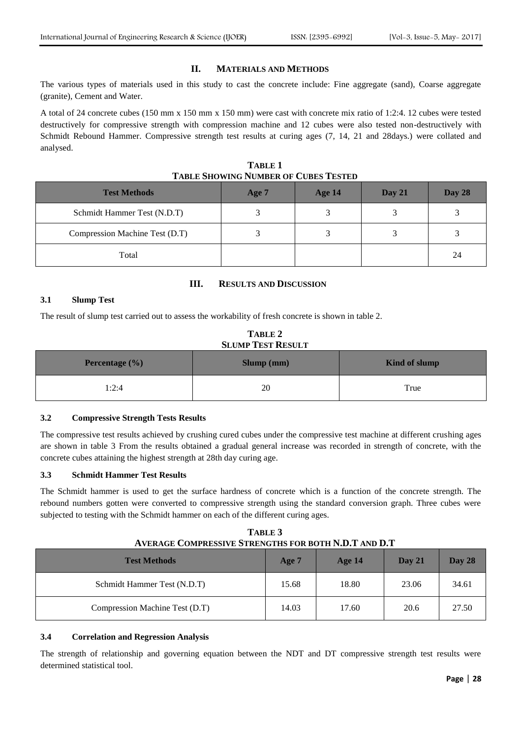## **II. MATERIALS AND METHODS**

The various types of materials used in this study to cast the concrete include: Fine aggregate (sand), Coarse aggregate (granite), Cement and Water.

A total of 24 concrete cubes (150 mm x 150 mm x 150 mm) were cast with concrete mix ratio of 1:2:4. 12 cubes were tested destructively for compressive strength with compression machine and 12 cubes were also tested non-destructively with Schmidt Rebound Hammer. Compressive strength test results at curing ages (7, 14, 21 and 28days.) were collated and analysed.

**TABLE 1 TABLE SHOWING NUMBER OF CUBES TESTED**

| <b>Test Methods</b>            | Age 7 | Age 14 | Day $21$ | Day 28 |
|--------------------------------|-------|--------|----------|--------|
| Schmidt Hammer Test (N.D.T)    |       |        |          |        |
| Compression Machine Test (D.T) |       |        |          |        |
| Total                          |       |        |          | 24     |

## **III. RESULTS AND DISCUSSION**

## **3.1 Slump Test**

The result of slump test carried out to assess the workability of fresh concrete is shown in table 2.

| TABLE 2                  |
|--------------------------|
| <b>SLUMP TEST RESULT</b> |

| <b>Percentage</b> $(\%)$ | Slump (mm) | Kind of slump |
|--------------------------|------------|---------------|
| 1:2:4                    | 20         | True          |

## **3.2 Compressive Strength Tests Results**

The compressive test results achieved by crushing cured cubes under the compressive test machine at different crushing ages are shown in table 3 From the results obtained a gradual general increase was recorded in strength of concrete, with the concrete cubes attaining the highest strength at 28th day curing age.

## **3.3 Schmidt Hammer Test Results**

The Schmidt hammer is used to get the surface hardness of concrete which is a function of the concrete strength. The rebound numbers gotten were converted to compressive strength using the standard conversion graph. Three cubes were subjected to testing with the Schmidt hammer on each of the different curing ages.

| TABLE 3                                                     |
|-------------------------------------------------------------|
| <b>AVERAGE COMPRESSIVE STRENGTHS FOR BOTH N.D.T AND D.T</b> |

| <b>Test Methods</b>            | Age 7 | <b>Age 14</b> | Day 21 | Day 28 |
|--------------------------------|-------|---------------|--------|--------|
| Schmidt Hammer Test (N.D.T)    | 15.68 | 18.80         | 23.06  | 34.61  |
| Compression Machine Test (D.T) | 14.03 | 17.60         | 20.6   | 27.50  |

#### **3.4 Correlation and Regression Analysis**

The strength of relationship and governing equation between the NDT and DT compressive strength test results were determined statistical tool.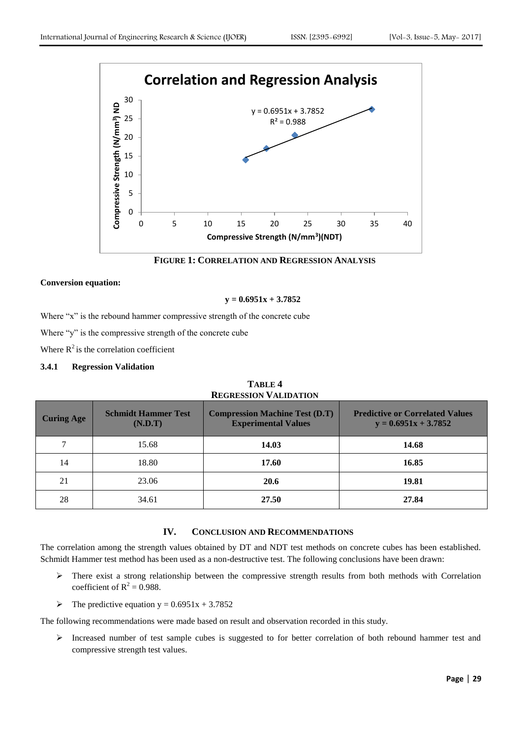

**FIGURE 1: CORRELATION AND REGRESSION ANALYSIS**

#### **Conversion equation:**

#### **y = 0.6951x + 3.7852**

Where "x" is the rebound hammer compressive strength of the concrete cube

Where "y" is the compressive strength of the concrete cube

Where  $R^2$  is the correlation coefficient

#### **3.4.1 Regression Validation**

| <b>Curing Age</b> | <b>Schmidt Hammer Test</b><br>(N.D.T) | <b>Compression Machine Test (D.T)</b><br><b>Experimental Values</b> | <b>Predictive or Correlated Values</b><br>$y = 0.6951x + 3.7852$ |
|-------------------|---------------------------------------|---------------------------------------------------------------------|------------------------------------------------------------------|
| 7                 | 15.68                                 | 14.03                                                               | 14.68                                                            |
| 14                | 18.80                                 | 17.60                                                               | 16.85                                                            |
| 21                | 23.06                                 | 20.6                                                                | 19.81                                                            |
| 28                | 34.61                                 | 27.50                                                               | 27.84                                                            |

**TABLE 4 REGRESSION VALIDATION**

# **IV. CONCLUSION AND RECOMMENDATIONS**

The correlation among the strength values obtained by DT and NDT test methods on concrete cubes has been established. Schmidt Hammer test method has been used as a non-destructive test. The following conclusions have been drawn:

- There exist a strong relationship between the compressive strength results from both methods with Correlation coefficient of  $R^2 = 0.988$ .
- $\triangleright$  The predictive equation y = 0.6951x + 3.7852

The following recommendations were made based on result and observation recorded in this study.

Increased number of test sample cubes is suggested to for better correlation of both rebound hammer test and compressive strength test values.